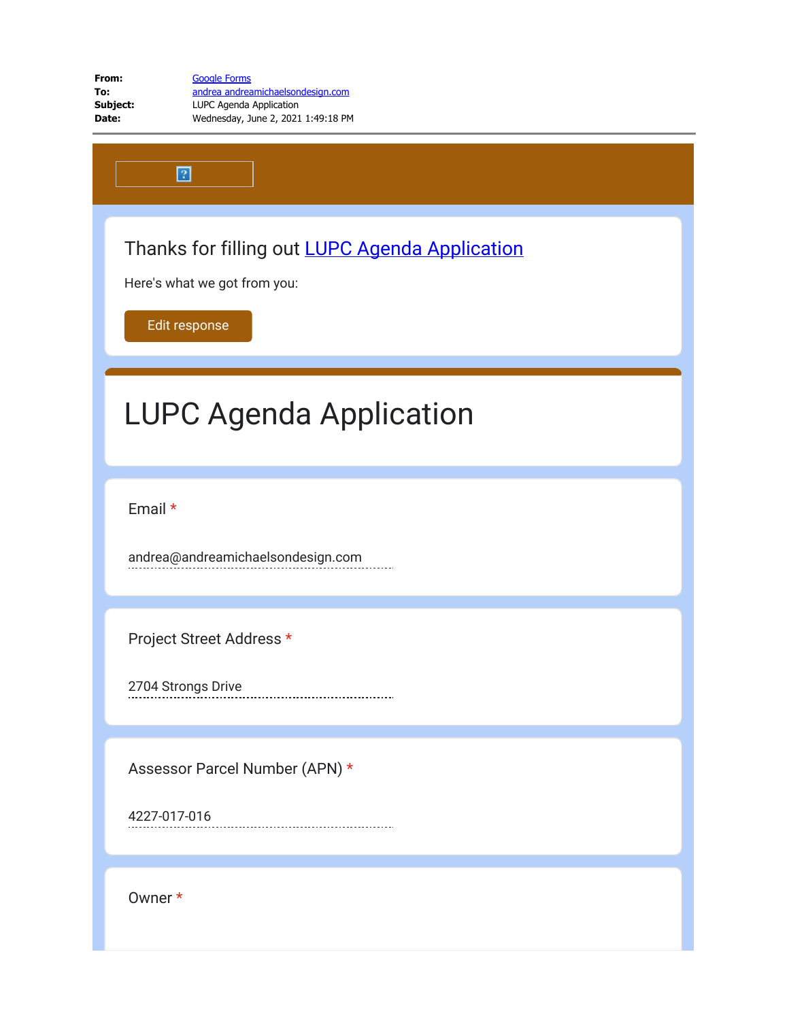| From:    | <b>Google Forms</b>                |
|----------|------------------------------------|
| To:      | andrea andreamichaelsondesign.com  |
| Subject: | LUPC Agenda Application            |
| Date:    | Wednesday, June 2, 2021 1:49:18 PM |

Thanks for filling out [LUPC Agenda Application](https://docs.google.com/forms/d/e/1FAIpQLSf3a2ZhY3qGOzs1VpiEXq77XiWCGkiYW7_Og7GmOGzHoTLY5w/viewform?usp=mail_form_link)

Here's what we got from you:

[Edit response](https://docs.google.com/forms/d/e/1FAIpQLSf3a2ZhY3qGOzs1VpiEXq77XiWCGkiYW7_Og7GmOGzHoTLY5w/viewform?edit2=2_ABaOnufJxSn7WwXWk9PF3E_ODcP_NQYYwFS6BQmUV3NsYMCv799CzqHqW-wxAiHhMyztV0E)

 $\boxed{2}$ 

## LUPC Agenda Application

Email \*

andrea@andreamichaelsondesign.com

Project Street Address \*

2704 Strongs Drive

Assessor Parcel Number (APN) \*

4227-017-016

Owner \*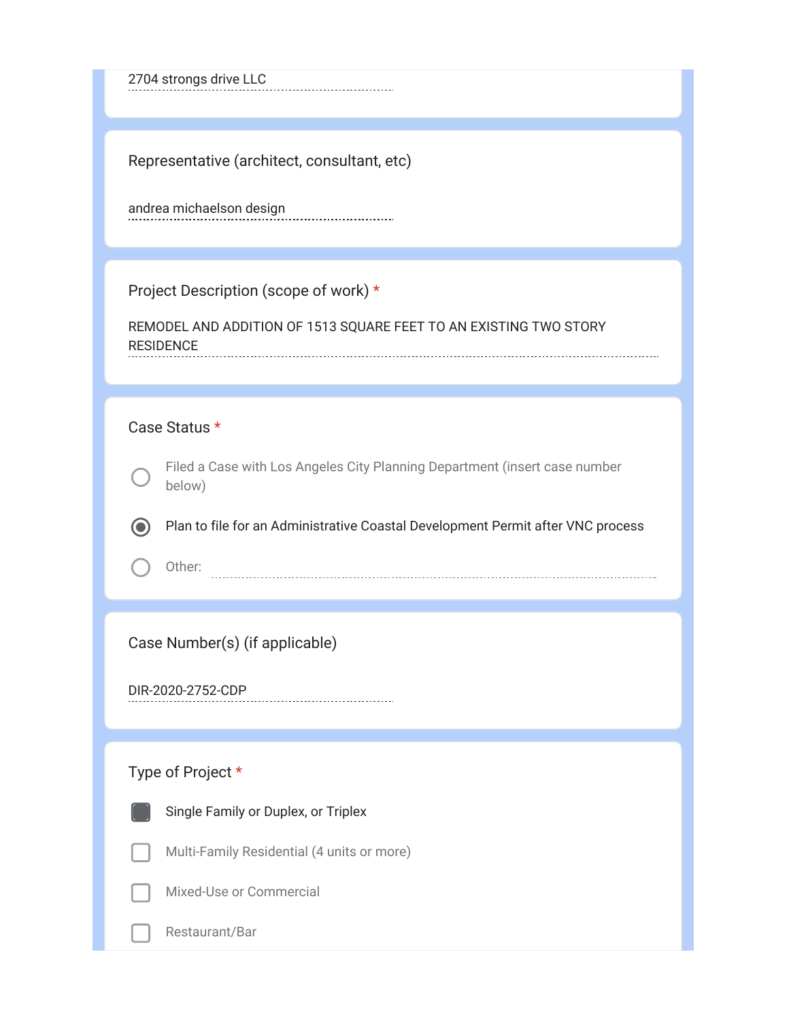2704 strongs drive LLC

Representative (architect, consultant, etc)

andrea michaelson design

Project Description (scope of work) \*

REMODEL AND ADDITION OF 1513 SQUARE FEET TO AN EXISTING TWO STORY RESIDENCE

## Case Status \*

Filed a Case with Los Angeles City Planning Department (insert case number below)

Plan to file for an Administrative Coastal Development Permit after VNC process

Other:

Case Number(s) (if applicable)

DIR-2020-2752-CDP

## Type of Project \*



Single Family or Duplex, or Triplex

Multi-Family Residential (4 units or more)

Mixed-Use or Commercial

Restaurant/Bar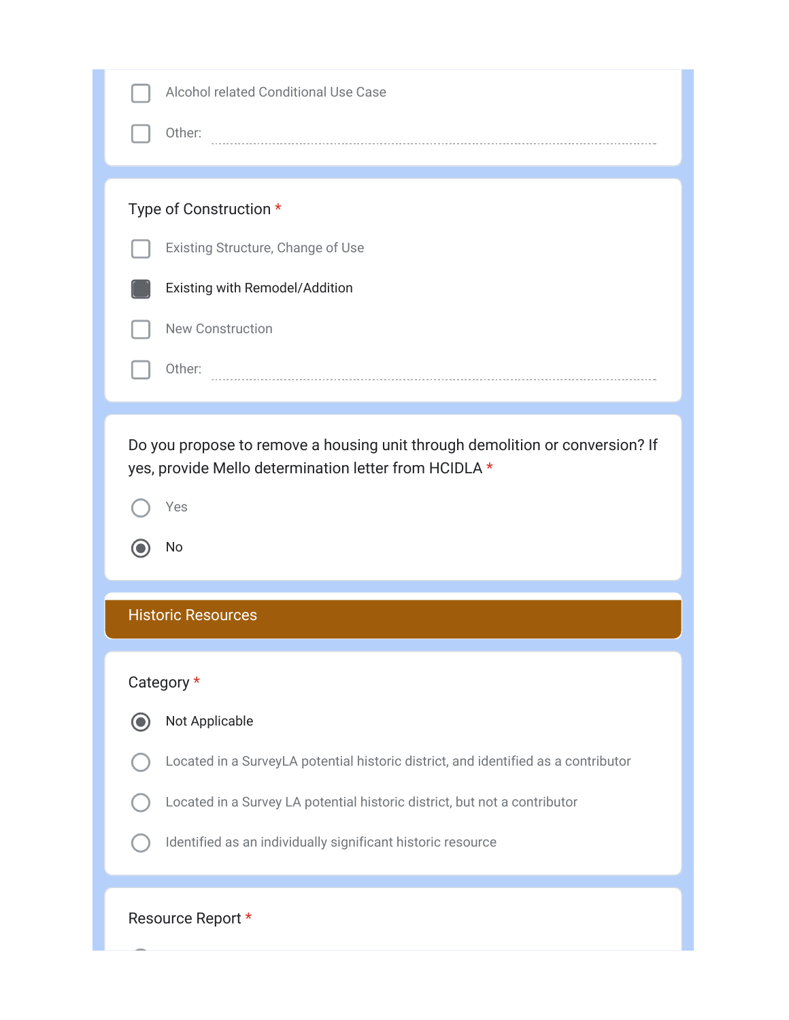| <b>Alcohol related Conditional Use Case</b>                                                                                           |
|---------------------------------------------------------------------------------------------------------------------------------------|
| Other:                                                                                                                                |
|                                                                                                                                       |
| Type of Construction *                                                                                                                |
| Existing Structure, Change of Use                                                                                                     |
| Existing with Remodel/Addition                                                                                                        |
| <b>New Construction</b>                                                                                                               |
| Other:                                                                                                                                |
|                                                                                                                                       |
| Do you propose to remove a housing unit through demolition or conversion? If<br>yes, provide Mello determination letter from HCIDLA * |
| Yes                                                                                                                                   |
| No                                                                                                                                    |
|                                                                                                                                       |
| <b>Historic Resources</b>                                                                                                             |
| Category *                                                                                                                            |
| $\bigcirc$<br>Not Applicable                                                                                                          |
| Located in a SurveyLA potential historic district, and identified as a contributor                                                    |
| Located in a Survey LA potential historic district, but not a contributor                                                             |
| Identified as an individually significant historic resource                                                                           |
|                                                                                                                                       |
| Resource Report *                                                                                                                     |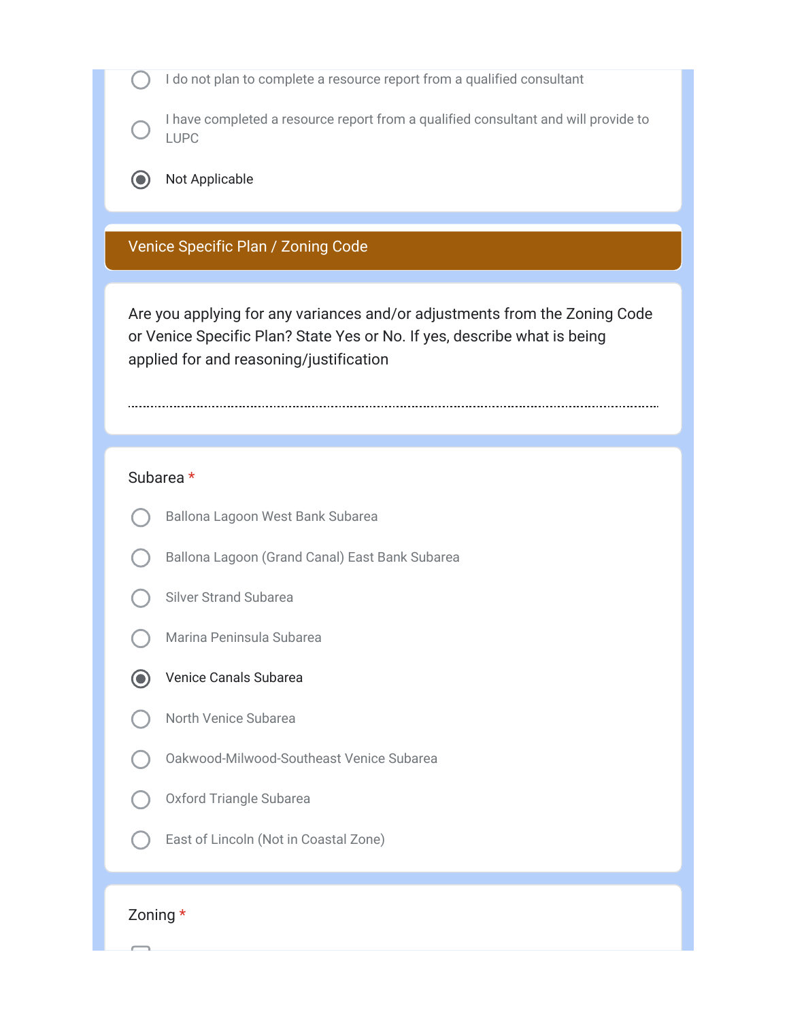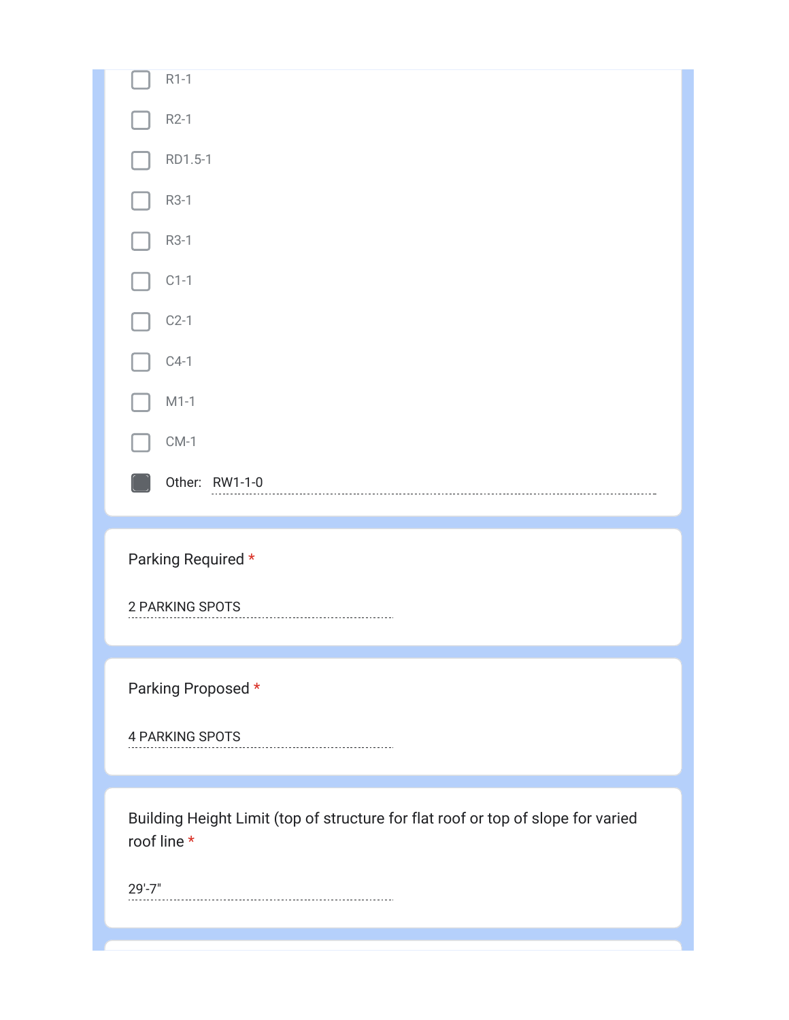| $R1-1$                                                                                          |
|-------------------------------------------------------------------------------------------------|
| $R2-1$                                                                                          |
| RD1.5-1                                                                                         |
| R3-1                                                                                            |
| R3-1                                                                                            |
| $C1-1$                                                                                          |
| $C2-1$                                                                                          |
| $C4-1$                                                                                          |
| $M1-1$                                                                                          |
| $CM-1$                                                                                          |
| Other: RW1-1-0                                                                                  |
|                                                                                                 |
|                                                                                                 |
| Parking Required *                                                                              |
| 2 PARKING SPOTS                                                                                 |
|                                                                                                 |
|                                                                                                 |
| Parking Proposed *                                                                              |
| 4 PARKING SPOTS                                                                                 |
|                                                                                                 |
| Building Height Limit (top of structure for flat roof or top of slope for varied<br>roof line * |
| $29' - 7"$                                                                                      |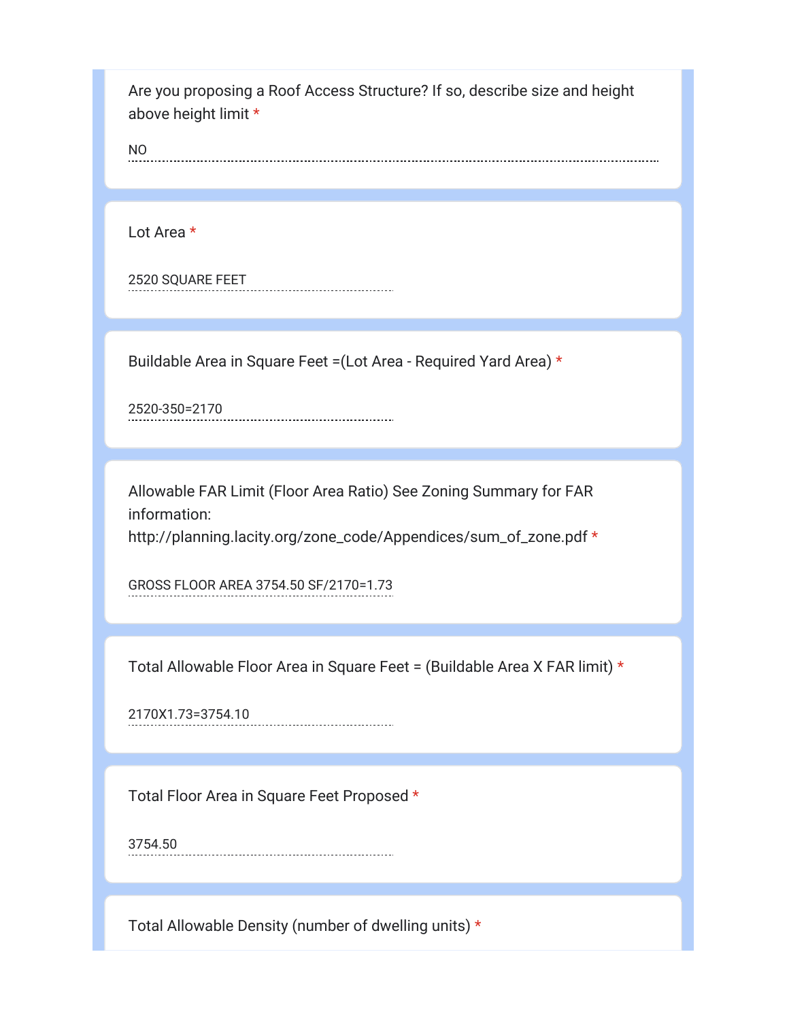Are you proposing a Roof Access Structure? If so, describe size and height above height limit \*

NO

Lot Area \*

2520 SQUARE FEET

Buildable Area in Square Feet =(Lot Area - Required Yard Area) \*

2520-350=2170

Allowable FAR Limit (Floor Area Ratio) See Zoning Summary for FAR information: http://planning.lacity.org/zone\_code/Appendices/sum\_of\_zone.pdf \*

GROSS FLOOR AREA 3754.50 SF/2170=1.73

Total Allowable Floor Area in Square Feet = (Buildable Area X FAR limit) \*

2170X1.73=3754.10

Total Floor Area in Square Feet Proposed \*

3754.50

Total Allowable Density (number of dwelling units) \*